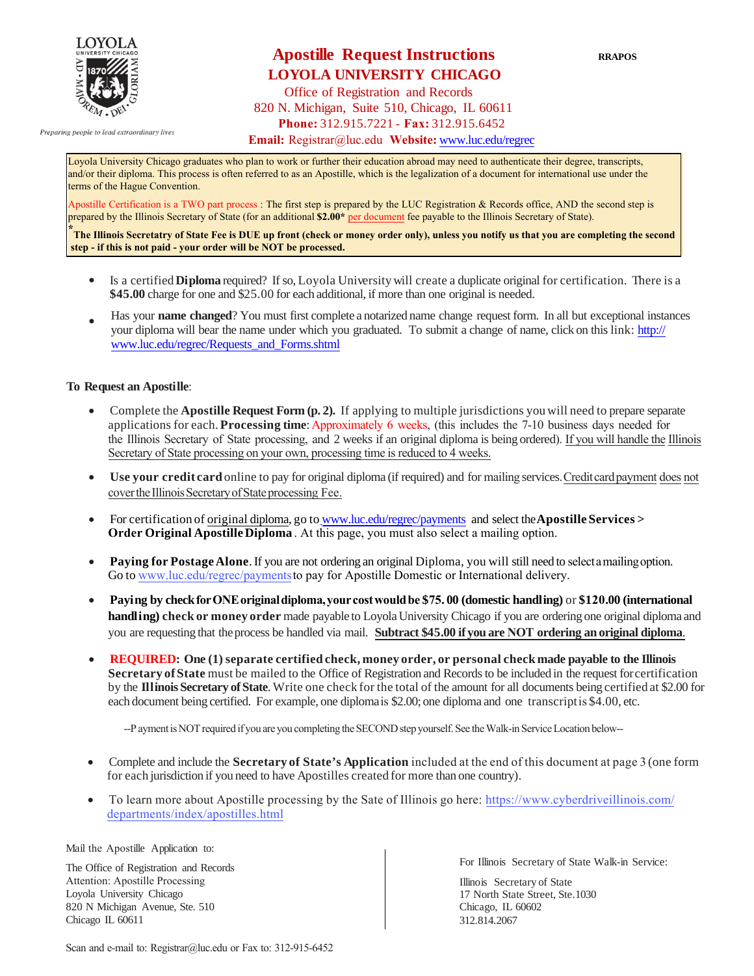

Preparing people to lead extraordinary lives

## **Apostille Request Instructions** RRAPOS  **LOYOLA UNIVERSITY CHICAGO**

Office of Registration and Records 820 N. Michigan, Suite 510, Chicago, IL 60611 **Phone:** 312.915.7221 - **Fax:** 312.915.6452

**Email:** Registrar[@luc.edu](http://www.luc.edu/regrec) **Website:** www.luc.edu/regrec

Loyola University Chicago graduates who plan to work or further their education abroad may need to authenticate their degree, transcripts, and/or their diploma. This process is often referred to as an Apostille, which is the legalization of a document for international use under the terms of the Hague Convention.

Apostille Certification is a TWO part process : The first step is prepared by the LUC Registration & Records office, AND the second step is prepared by the Illinois Secretary of State (for an additional **\$2.00\*** per document fee payable to the Illinois Secretary of State).

**\* The Illinois Secretatry of State Fee is DUE up front (check or money order only), unless you notify us that you are completing the second step - if this is not paid - your order will be NOT be processed.**

- Is a certified **Diploma** required? If so, Loyola University will create a duplicate original for certification. There is a **\$45.00** charge for one and \$25.00 for each additional, if more than one original is needed.
- Has your **name changed**? You must first complete a notarized name change request form. In all but exceptional instances your diploma will bear the [name under which you graduated. To submit a change](http://www.luc.edu/regrec/Requests_and_Forms.shtml) of name, click on this link: http:// www.luc.edu/regrec/Requests\_and\_Forms.shtml

### **To Request an Apostille**:

- Complete the **Apostille Request Form (p. 2).** If applying to multiple jurisdictions youwill need to prepare separate applications for each. **Processing time**: Approximately 6 weeks, (this includes the 7-10 business days needed for the Illinois Secretary of State processing, and 2 weeks if an original diploma is being ordered). If you will handle the Illinois Secretary of State processing on your own, processing time is reduced to 4 weeks.
- **Use your credit card** online to pay for original diploma (if required) and for mailing services.Creditcardpayment does not cover the Illinois Secretary of State processing Fee.
- For certification of original diploma, go to [www.luc.edu/regrec](https://epay.luc.edu/C20996_ustores/web/store_cat.jsp?STOREID=137&CATID=274&SINGLESTORE=true)/payments and select the**[Apostille](http://www.luc.edu/regrec/payments) Services > Order Original Apostille Diploma** . At this page, you must also select a mailing option.
- **Paying for Postage Alone**. If you are not ordering an original [Diploma, you](https://epay.luc.edu/C20996_ustores/web/store_cat.jsp?STOREID=137&CATID=313&SINGLESTORE=true) will still need to select a mailing option. Go to <www.luc.edu/regrec/payments>to pay for Apostille Domestic or International delivery.
- **Paying by checkforONEoriginaldiploma,yourcostwouldbe \$75. 00 (domestic handling)** or **\$120.00 (international handling) check or money order** made payable to Loyola University Chicago if you are ordering one original diploma and you are requesting that theprocess be handled via mail. **Subtract \$45.00 if you are NOT ordering an original diploma**.
- **REQUIRED: One (1) separate certified check, money order, or personal check made payable to the Illinois Secretary ofState** must be mailed to the Office of Registration and Records to be included in the request forcertification by the **Illinois Secretary ofState**.Write one check for the total of the amount for all documents being certified at \$2.00 for each document being certified. For example, one diplomais \$2.00; one diploma and one transcriptis \$4.00, etc.

--P ayment is NOT required if you are you completing the SECOND step yourself. See the Walk-in Service Location below--

- Complete and include the **Secretary of State's Application** included at the end of this document at page 3 (one form for each jurisdiction if you need to have Apostilles created for more than one country).
- [T](https://www.cyberdriveillinois.com/departments/index/apostilles.html)[o learn more about Apostille processing by the Sate of Illinois go here](http://www.cyberdriveillinois.com/publications/pdf_publications/i213.pdf)[: https://www.cyberdriveillinois.com/](https://www.cyberdriveillinois.com/departments/index/apostilles.html) departments/index/apostilles.html

Mail the Apostille Application to:

The Office of Registration and Records Attention: Apostille Processing Loyola University Chicago 820 N Michigan Avenue, Ste. 510 Chicago IL 60611

For Illinois Secretary of State Walk-in Service:

 Illinois Secretary of State 17 North State Street, Ste.1030 Chicago, IL 60602 312.814.2067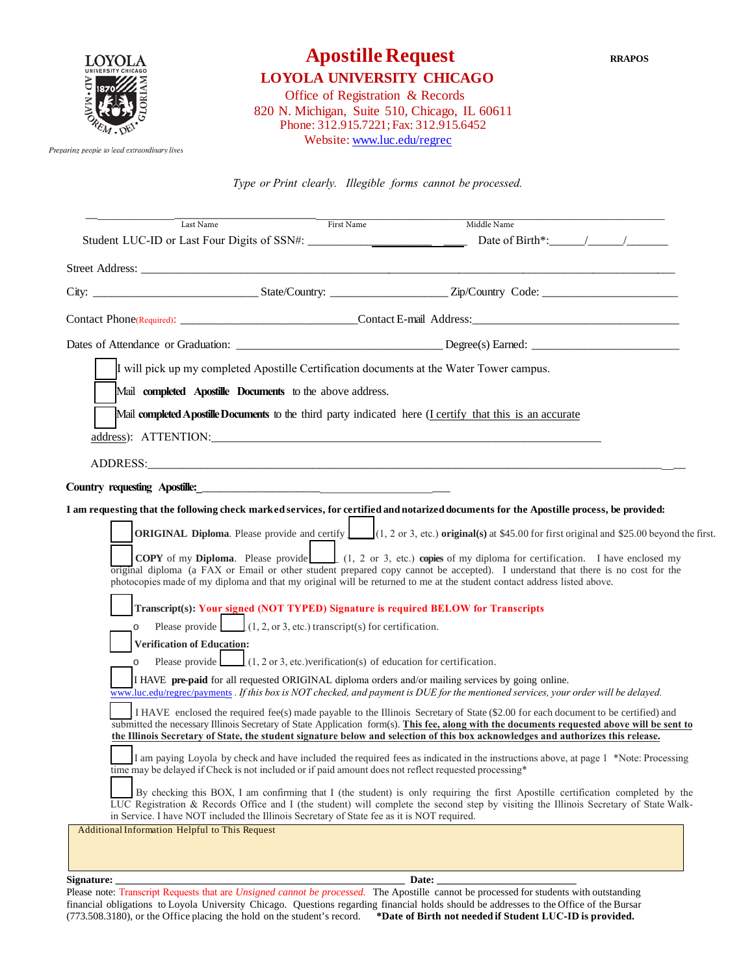

# **Apostille Request RRAPOS**

 **LOYOLA UNIVERSITY CHICAGO**

 Office of Registration & Records 820 N. Michigan, Suite 510, Chicago, IL 60611 Phone: 312.915.7221; Fax: 312.915.6452 Website: [www.luc.edu/regrec](http://www.luc.edu/regrec)

Preparing people to lead extraordinary lives

*Type or Print clearly. Illegible forms cannot be processed.*

| Last Name                                                                                                                                           | First Name<br>Middle Name                                                                                                                                                                                                                                                                                                                                                                                             |
|-----------------------------------------------------------------------------------------------------------------------------------------------------|-----------------------------------------------------------------------------------------------------------------------------------------------------------------------------------------------------------------------------------------------------------------------------------------------------------------------------------------------------------------------------------------------------------------------|
|                                                                                                                                                     |                                                                                                                                                                                                                                                                                                                                                                                                                       |
|                                                                                                                                                     |                                                                                                                                                                                                                                                                                                                                                                                                                       |
|                                                                                                                                                     |                                                                                                                                                                                                                                                                                                                                                                                                                       |
|                                                                                                                                                     |                                                                                                                                                                                                                                                                                                                                                                                                                       |
|                                                                                                                                                     |                                                                                                                                                                                                                                                                                                                                                                                                                       |
| I will pick up my completed Apostille Certification documents at the Water Tower campus.                                                            |                                                                                                                                                                                                                                                                                                                                                                                                                       |
| Mail completed Apostille Documents to the above address.                                                                                            |                                                                                                                                                                                                                                                                                                                                                                                                                       |
|                                                                                                                                                     | Mail completed Apostille Documents to the third party indicated here (I certify that this is an accurate                                                                                                                                                                                                                                                                                                              |
|                                                                                                                                                     |                                                                                                                                                                                                                                                                                                                                                                                                                       |
| ADDRESS: ANDRESS:                                                                                                                                   |                                                                                                                                                                                                                                                                                                                                                                                                                       |
|                                                                                                                                                     |                                                                                                                                                                                                                                                                                                                                                                                                                       |
|                                                                                                                                                     | I am requesting that the following check marked services, for certified and notarized documents for the Apostille process, be provided:                                                                                                                                                                                                                                                                               |
|                                                                                                                                                     | <b>ORIGINAL Diploma.</b> Please provide and certify $(1, 2 \text{ or } 3, \text{ etc.})$ <b>original(s)</b> at \$45.00 for first original and \$25.00 beyond the first.                                                                                                                                                                                                                                               |
|                                                                                                                                                     | <b>COPY</b> of my <b>Diploma</b> . Please provide (1, 2 or 3, etc.) copies of my diploma for certification. I have enclosed my<br>original diploma (a FAX or Email or other student prepared copy cannot be accepted). I understand that there is no cost for the<br>photocopies made of my diploma and that my original will be returned to me at the student contact address listed above.                          |
|                                                                                                                                                     | Transcript(s): Your signed (NOT TYPED) Signature is required BELOW for Transcripts                                                                                                                                                                                                                                                                                                                                    |
| Please provide $(1, 2, \text{or } 3, \text{ etc.})$ transcript(s) for certification.<br>$\circ$                                                     |                                                                                                                                                                                                                                                                                                                                                                                                                       |
| <b>Verification of Education:</b><br>Please provide $(1, 2 \text{ or } 3, \text{ etc.})$ verification(s) of education for certification.<br>$\circ$ |                                                                                                                                                                                                                                                                                                                                                                                                                       |
|                                                                                                                                                     | I HAVE pre-paid for all requested ORIGINAL diploma orders and/or mailing services by going online.<br>www.luc.edu/regrec/payments . If this box is NOT checked, and payment is DUE for the mentioned services, your order will be delayed.                                                                                                                                                                            |
|                                                                                                                                                     | I HAVE enclosed the required fee(s) made payable to the Illinois Secretary of State (\$2.00 for each document to be certified) and<br>submitted the necessary Illinois Secretary of State Application form(s). This fee, along with the documents requested above will be sent to<br>the Illinois Secretary of State, the student signature below and selection of this box acknowledges and authorizes this release. |
| time may be delayed if Check is not included or if paid amount does not reflect requested processing*                                               | I am paying Loyola by check and have included the required fees as indicated in the instructions above, at page 1 *Note: Processing                                                                                                                                                                                                                                                                                   |
| in Service. I have NOT included the Illinois Secretary of State fee as it is NOT required.                                                          | By checking this BOX, I am confirming that I (the student) is only requiring the first Apostille certification completed by the<br>LUC Registration & Records Office and I (the student) will complete the second step by visiting the Illinois Secretary of State Walk-                                                                                                                                              |
| Additional Information Helpful to This Request                                                                                                      |                                                                                                                                                                                                                                                                                                                                                                                                                       |
|                                                                                                                                                     |                                                                                                                                                                                                                                                                                                                                                                                                                       |

#### **Signature: \_\_\_\_\_\_\_\_\_\_\_\_\_\_\_\_\_\_\_\_\_\_\_\_\_\_\_\_\_\_\_\_\_\_\_\_\_\_\_\_\_\_\_\_\_\_\_\_\_\_\_\_\_\_\_\_ Date: \_\_\_\_\_\_\_\_\_\_\_\_\_\_\_\_\_\_\_\_\_\_\_\_\_\_\_**

Please note: Transcript Requests that are *Unsigned cannot be processed.* The Apostille cannot be processed for students with outstanding financial obligations to Loyola University Chicago. Questions regarding financial holds should be addresses to the Office of the Bursar (773.508.3180), or the Office placing the hold on the student's record. **\*Date of Birth not needed if Student LUC-ID is provided.**